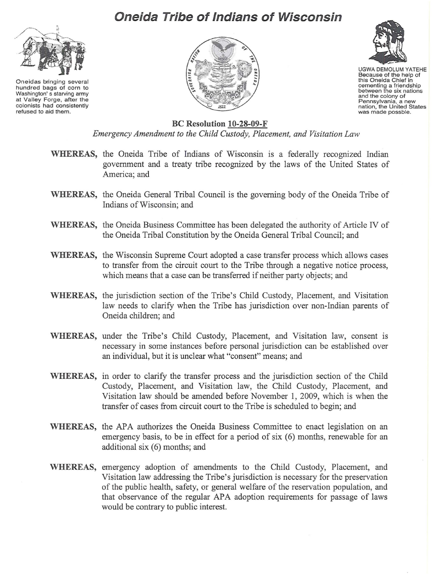## **Oneida Tribe of Indians of Wisconsin**



Oneidas bringing several hundred bags of corn to Washington's starving army at Valley Forge, after the colonists had consistently refused to aid them.





UGWA DEMOLUM YATEHE Because of the help of this Oneida Chief in cementing a friendship between the six nations and the colony of<br>Pennsylvania, a new nation, the United States was made possble.

## **Be Resolution l O-28-09-F**

*Emergency Amendment to the Child Custody, Placement, and Visitation Law*

- **WHEREAS,** the Oneida Tribe of Indians of Wisconsin is a federally recognized Indian government and a treaty tribe recognized by the laws of the United States of America; and
- **WHEREAS,** the Oneida General Tribal Council is the governing body of the Oneida Tribe of Indians ofWisconsin; and
- **WHEREAS,** the Oneida Business Committee has been delegated the authority of Article IV of the Oneida Tribal Constitution by the Oneida General Tribal Council; and
- **WHEREAS,** the Wisconsin Supreme Court adopted a case transfer process which allows cases to transfer from the circuit court to the Tribe through a negative notice process, which means that a case can be transferred if neither party objects; and
- **WHEREAS,** the jurisdiction section of the Tribe's Child Custody, Placement, and Visitation law needs to clarify when the Tribe has jurisdiction over non-Indian parents of Oneida children; and
- **WHEREAS,** under the Tribe's Child Custody, Placement, and Visitation law, consent is necessary in some instances before personal jurisdiction can be established over an individual, but it is unclear what "consent" means; and
- **WHEREAS,** in order to clarify the transfer process and the jurisdiction section of the Child Custody, Placement, and Visitation law, the Child Custody, Placement, and Visitation law should be amended before November I, 2009, which is when the transfer of cases from circuit court to the Tribe is scheduled to begin; and
- **WHEREAS,** the APA authorizes the Oneida Business Committee to enact legislation on an emergency basis, to be in effect for a period of six (6) months, renewable for an additional six (6) months; and
- **WHEREAS,** emergency adoption of amendments to the Child Custody, Placement, and Visitation law addressing the Tribe's jurisdiction is necessary for the preservation of the public health, safety, or general welfare of the reservation population, and that observance of the regular APA adoption requirements for passage of laws would be contrary to public interest.